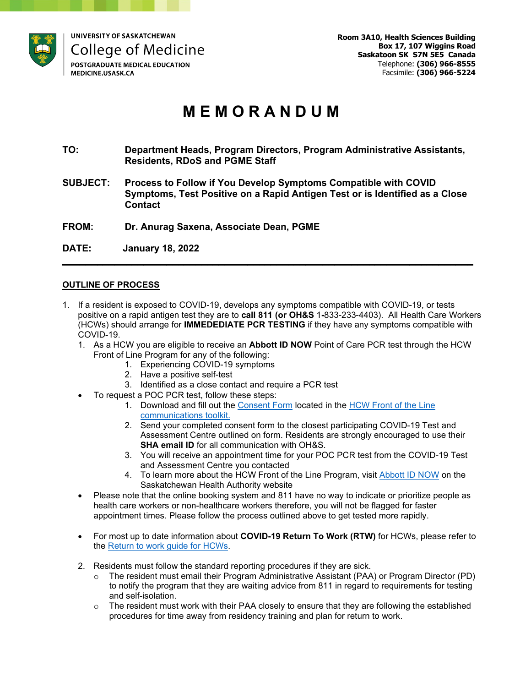

## **M E M O R A N D U M**

- **TO: Department Heads, Program Directors, Program Administrative Assistants, Residents, RDoS and PGME Staff**
- **SUBJECT: Process to Follow if You Develop Symptoms Compatible with COVID Symptoms, Test Positive on a Rapid Antigen Test or is Identified as a Close Contact**
- **FROM: Dr. Anurag Saxena, Associate Dean, PGME**
- **DATE: January 18, 2022**

## **OUTLINE OF PROCESS**

1. If a resident is exposed to COVID-19, develops any symptoms compatible with COVID-19, or tests positive on a rapid antigen test they are to **call 811 (or OH&S** 1**-**833-233-4403).All Health Care Workers (HCWs) should arrange for **IMMEDEDIATE PCR TESTING** if they have any symptoms compatible with COVID-19.

**\_\_\_\_\_\_\_\_\_\_\_\_\_\_\_\_\_\_\_\_\_\_\_\_\_\_\_\_\_\_\_\_\_\_\_\_\_\_\_\_\_\_\_\_\_\_\_\_\_\_\_\_\_\_\_\_\_\_\_\_\_\_\_\_\_\_\_\_\_\_\_** 

- 1. As a HCW you are eligible to receive an **Abbott ID NOW** Point of Care PCR test through the HCW Front of Line Program for any of the following:
	- 1. Experiencing COVID-19 symptoms
	- 2. Have a positive self-test
	- 3. Identified as a close contact and require a PCR test
- To request a POC PCR test, follow these steps:
	- 1. Download and fill out the [Consent Form](https://www.saskhealthauthority.ca/system/files/2021-10/T2P-AbbottIDNow-ConsentForm-FINAL.pdf) located in the [HCW Front of the Line](https://www.saskhealthauthority.ca/intranet/about-sha/news/covid-19-information-health-care-providers/testing-screening-treatment-and-medical-directives/testing/abbott-id-now)  [communications toolkit.](https://www.saskhealthauthority.ca/intranet/about-sha/news/covid-19-information-health-care-providers/testing-screening-treatment-and-medical-directives/testing/abbott-id-now)
	- 2. Send your completed consent form to the closest participating COVID-19 Test and Assessment Centre outlined on form. Residents are strongly encouraged to use their **SHA email ID** for all communication with OH&S.
	- 3. You will receive an appointment time for your POC PCR test from the COVID-19 Test and Assessment Centre you contacted
	- 4. To learn more about the HCW Front of the Line Program, visit [Abbott ID NOW](https://www.saskhealthauthority.ca/intranet/about-sha/news/covid-19-information-health-care-providers/testing-screening-treatment-and-medical-directives/testing/abbott-id-now) on the Saskatchewan Health Authority website
- Please note that the online booking system and 811 have no way to indicate or prioritize people as health care workers or non-healthcare workers therefore, you will not be flagged for faster appointment times. Please follow the process outlined above to get tested more rapidly.
- For most up to date information about **COVID-19 Return To Work (RTW)** for HCWs, please refer to the [Return to work guide for HCWs.](https://www.saskhealthauthority.ca/system/files/2021-10/Negative-Callbacks-HCW-FS-Return-to-Work-Guide.pdf)
- 2. Residents must follow the standard reporting procedures if they are sick.
	- $\circ$  The resident must email their Program Administrative Assistant (PAA) or Program Director (PD) to notify the program that they are waiting advice from 811 in regard to requirements for testing and self-isolation.
	- o The resident must work with their PAA closely to ensure that they are following the established procedures for time away from residency training and plan for return to work.